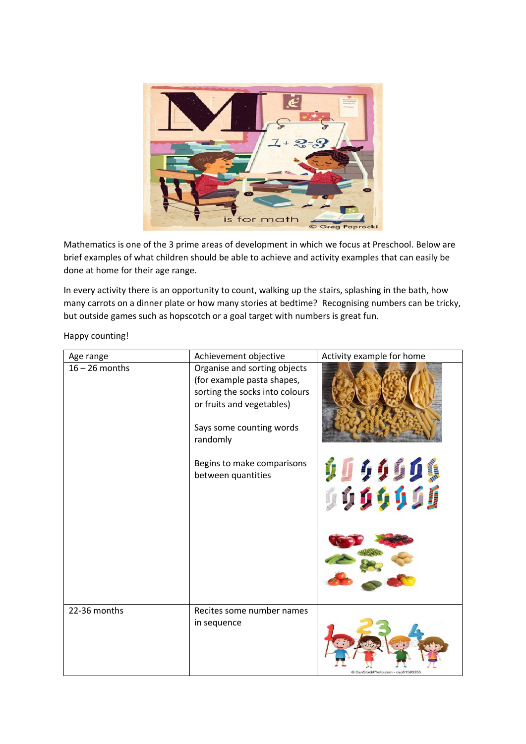

Mathematics is one of the 3 prime areas of development in which we focus at Preschool. Below are brief examples of what children should be able to achieve and activity examples that can easily be done at home for their age range.

In every activity there is an opportunity to count, walking up the stairs, splashing in the bath, how many carrots on a dinner plate or how many stories at bedtime? Recognising numbers can be tricky, but outside games such as hopscotch or a goal target with numbers is great fun.

Happy counting!

| Age range        | Achievement objective                                                                                                                                             | Activity example for home         |
|------------------|-------------------------------------------------------------------------------------------------------------------------------------------------------------------|-----------------------------------|
| $16 - 26$ months | Organise and sorting objects<br>(for example pasta shapes,<br>sorting the socks into colours<br>or fruits and vegetables)<br>Says some counting words<br>randomly |                                   |
|                  | Begins to make comparisons<br>between quantities                                                                                                                  | 0000000<br>00 <mark>00</mark> 000 |
|                  |                                                                                                                                                                   |                                   |
| 22-36 months     | Recites some number names<br>in sequence                                                                                                                          | CanStockPhoto.com - csp5158335    |